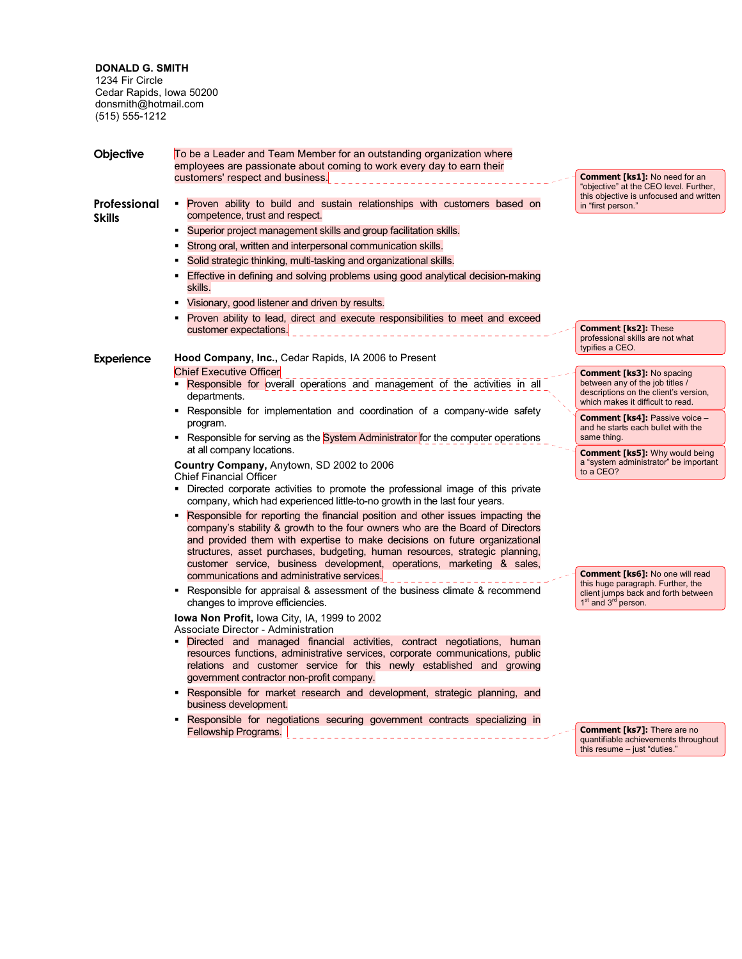**DONALD G. SMITH**  1234 Fir Circle Cedar Rapids, Iowa 50200 donsmith@hotmail.com (515) 555-1212

| Objective                     | To be a Leader and Team Member for an outstanding organization where                                                                                                                                                                                                                                                                                                                                       |                                                                                                                         |  |
|-------------------------------|------------------------------------------------------------------------------------------------------------------------------------------------------------------------------------------------------------------------------------------------------------------------------------------------------------------------------------------------------------------------------------------------------------|-------------------------------------------------------------------------------------------------------------------------|--|
|                               | employees are passionate about coming to work every day to earn their<br>customers' respect and business.                                                                                                                                                                                                                                                                                                  | <b>Comment [ks1]: No need for an</b><br>"objective" at the CEO level. Further,                                          |  |
| Professional<br><b>Skills</b> | • Proven ability to build and sustain relationships with customers based on<br>competence, trust and respect.                                                                                                                                                                                                                                                                                              | this objective is unfocused and written<br>in "first person."                                                           |  |
|                               | • Superior project management skills and group facilitation skills.                                                                                                                                                                                                                                                                                                                                        |                                                                                                                         |  |
|                               | Strong oral, written and interpersonal communication skills.                                                                                                                                                                                                                                                                                                                                               |                                                                                                                         |  |
|                               | Solid strategic thinking, multi-tasking and organizational skills.                                                                                                                                                                                                                                                                                                                                         |                                                                                                                         |  |
|                               | Effective in defining and solving problems using good analytical decision-making<br>٠<br>skills.                                                                                                                                                                                                                                                                                                           |                                                                                                                         |  |
|                               | Visionary, good listener and driven by results.                                                                                                                                                                                                                                                                                                                                                            |                                                                                                                         |  |
|                               | Proven ability to lead, direct and execute responsibilities to meet and exceed                                                                                                                                                                                                                                                                                                                             |                                                                                                                         |  |
|                               | customer expectations                                                                                                                                                                                                                                                                                                                                                                                      | <b>Comment [ks2]: These</b><br>professional skills are not what<br>typifies a CEO.                                      |  |
| Experience                    | Hood Company, Inc., Cedar Rapids, IA 2006 to Present                                                                                                                                                                                                                                                                                                                                                       |                                                                                                                         |  |
|                               | <b>Chief Executive Officer</b>                                                                                                                                                                                                                                                                                                                                                                             | <b>Comment [ks3]: No spacing</b>                                                                                        |  |
|                               | <b>Responsible for overall operations and management of the activities in all</b><br>departments.                                                                                                                                                                                                                                                                                                          | between any of the job titles /<br>descriptions on the client's version,<br>which makes it difficult to read.           |  |
|                               | - Responsible for implementation and coordination of a company-wide safety                                                                                                                                                                                                                                                                                                                                 | <b>Comment [ks4]: Passive voice -</b>                                                                                   |  |
|                               | program.                                                                                                                                                                                                                                                                                                                                                                                                   | and he starts each bullet with the<br>same thing.                                                                       |  |
|                               | Responsible for serving as the System Administrator for the computer operations<br>at all company locations.                                                                                                                                                                                                                                                                                               |                                                                                                                         |  |
|                               | Country Company, Anytown, SD 2002 to 2006<br><b>Chief Financial Officer</b>                                                                                                                                                                                                                                                                                                                                | <b>Comment [ks5]:</b> Why would being<br>a "system administrator" be important<br>to a CEO?                             |  |
|                               | • Directed corporate activities to promote the professional image of this private<br>company, which had experienced little-to-no growth in the last four years.                                                                                                                                                                                                                                            |                                                                                                                         |  |
|                               | Responsible for reporting the financial position and other issues impacting the<br>company's stability & growth to the four owners who are the Board of Directors<br>and provided them with expertise to make decisions on future organizational<br>structures, asset purchases, budgeting, human resources, strategic planning,<br>customer service, business development, operations, marketing & sales, |                                                                                                                         |  |
|                               | communications and administrative services.                                                                                                                                                                                                                                                                                                                                                                | <b>Comment [ks6]:</b> No one will read                                                                                  |  |
|                               | Responsible for appraisal & assessment of the business climate & recommend<br>٠<br>changes to improve efficiencies.                                                                                                                                                                                                                                                                                        | this huge paragraph. Further, the<br>client jumps back and forth between<br>1 <sup>st</sup> and 3 <sup>rd</sup> person. |  |
|                               | <b>Iowa Non Profit, lowa City, IA, 1999 to 2002</b><br>Associate Director - Administration                                                                                                                                                                                                                                                                                                                 |                                                                                                                         |  |
|                               | Directed and managed financial activities, contract negotiations, human<br>resources functions, administrative services, corporate communications, public<br>relations and customer service for this newly established and growing<br>government contractor non-profit company.                                                                                                                            |                                                                                                                         |  |
|                               | Responsible for market research and development, strategic planning, and<br>٠<br>business development.                                                                                                                                                                                                                                                                                                     |                                                                                                                         |  |
|                               | Responsible for negotiations securing government contracts specializing in                                                                                                                                                                                                                                                                                                                                 |                                                                                                                         |  |
|                               | Fellowship Programs.                                                                                                                                                                                                                                                                                                                                                                                       | <b>Comment [ks7]:</b> There are no<br>quantifiable achievements throughout<br>this resume - just "duties."              |  |